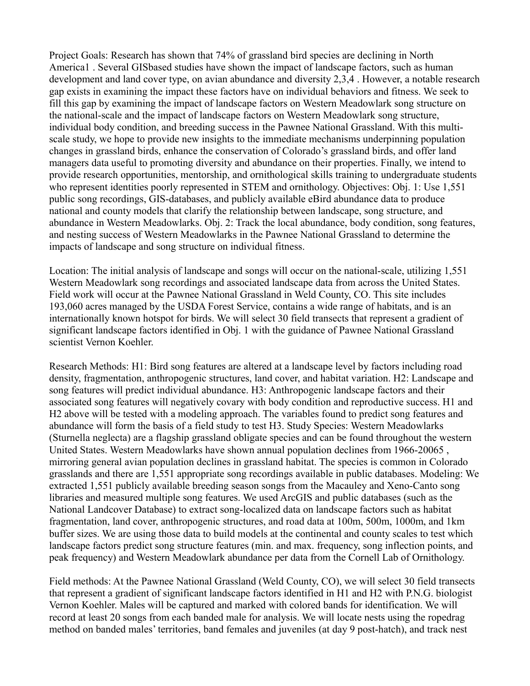Project Goals: Research has shown that 74% of grassland bird species are declining in North America1 . Several GISbased studies have shown the impact of landscape factors, such as human development and land cover type, on avian abundance and diversity 2,3,4 . However, a notable research gap exists in examining the impact these factors have on individual behaviors and fitness. We seek to fill this gap by examining the impact of landscape factors on Western Meadowlark song structure on the national-scale and the impact of landscape factors on Western Meadowlark song structure, individual body condition, and breeding success in the Pawnee National Grassland. With this multiscale study, we hope to provide new insights to the immediate mechanisms underpinning population changes in grassland birds, enhance the conservation of Colorado's grassland birds, and offer land managers data useful to promoting diversity and abundance on their properties. Finally, we intend to provide research opportunities, mentorship, and ornithological skills training to undergraduate students who represent identities poorly represented in STEM and ornithology. Objectives: Obj. 1: Use 1,551 public song recordings, GIS-databases, and publicly available eBird abundance data to produce national and county models that clarify the relationship between landscape, song structure, and abundance in Western Meadowlarks. Obj. 2: Track the local abundance, body condition, song features, and nesting success of Western Meadowlarks in the Pawnee National Grassland to determine the impacts of landscape and song structure on individual fitness.

Location: The initial analysis of landscape and songs will occur on the national-scale, utilizing 1,551 Western Meadowlark song recordings and associated landscape data from across the United States. Field work will occur at the Pawnee National Grassland in Weld County, CO. This site includes 193,060 acres managed by the USDA Forest Service, contains a wide range of habitats, and is an internationally known hotspot for birds. We will select 30 field transects that represent a gradient of significant landscape factors identified in Obj. 1 with the guidance of Pawnee National Grassland scientist Vernon Koehler.

Research Methods: H1: Bird song features are altered at a landscape level by factors including road density, fragmentation, anthropogenic structures, land cover, and habitat variation. H2: Landscape and song features will predict individual abundance. H3: Anthropogenic landscape factors and their associated song features will negatively covary with body condition and reproductive success. H1 and H2 above will be tested with a modeling approach. The variables found to predict song features and abundance will form the basis of a field study to test H3. Study Species: Western Meadowlarks (Sturnella neglecta) are a flagship grassland obligate species and can be found throughout the western United States. Western Meadowlarks have shown annual population declines from 1966-20065 , mirroring general avian population declines in grassland habitat. The species is common in Colorado grasslands and there are 1,551 appropriate song recordings available in public databases. Modeling: We extracted 1,551 publicly available breeding season songs from the Macauley and Xeno-Canto song libraries and measured multiple song features. We used ArcGIS and public databases (such as the National Landcover Database) to extract song-localized data on landscape factors such as habitat fragmentation, land cover, anthropogenic structures, and road data at 100m, 500m, 1000m, and 1km buffer sizes. We are using those data to build models at the continental and county scales to test which landscape factors predict song structure features (min. and max. frequency, song inflection points, and peak frequency) and Western Meadowlark abundance per data from the Cornell Lab of Ornithology.

Field methods: At the Pawnee National Grassland (Weld County, CO), we will select 30 field transects that represent a gradient of significant landscape factors identified in H1 and H2 with P.N.G. biologist Vernon Koehler. Males will be captured and marked with colored bands for identification. We will record at least 20 songs from each banded male for analysis. We will locate nests using the ropedrag method on banded males' territories, band females and juveniles (at day 9 post-hatch), and track nest